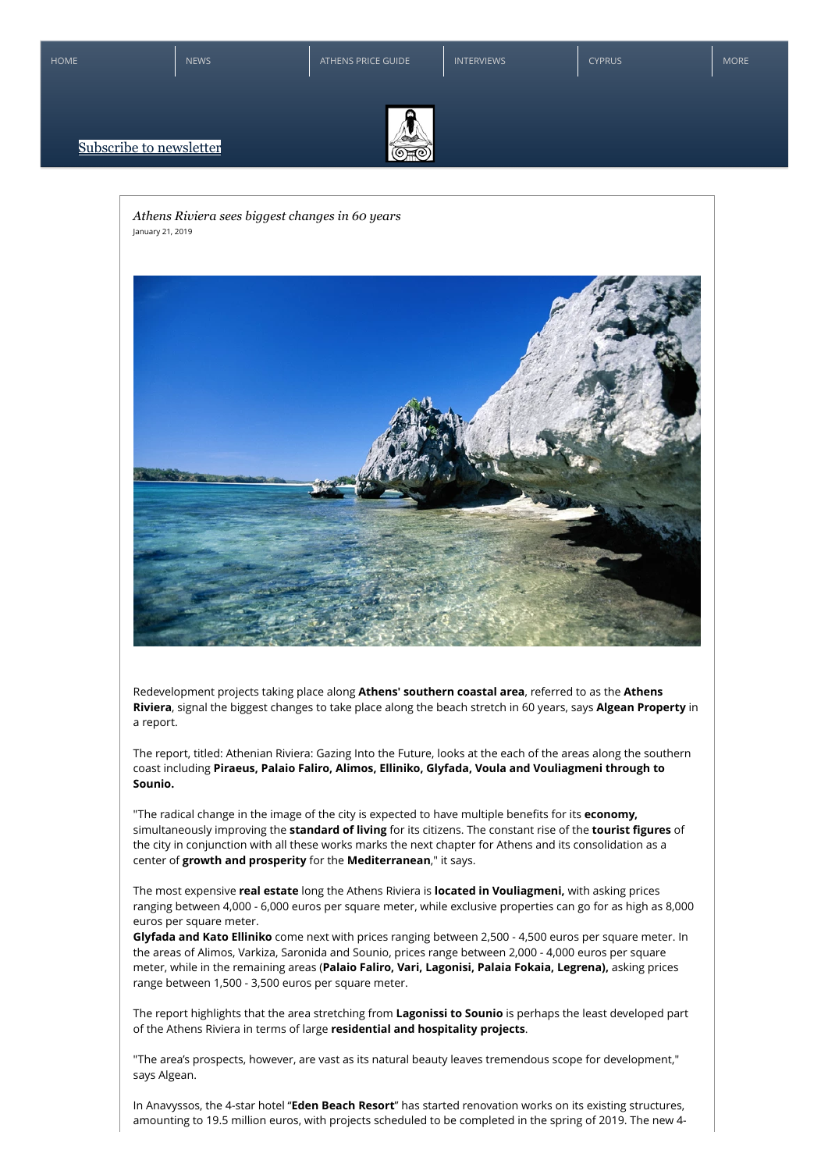[HOME](https://www.greekguru.net/) **[NEWS](https://www.greekguru.net/news)** NEWS **[INTERVIEWS](https://www.greekguru.net/interviews)** [ATHENS PRICE GUIDE](https://www.greekguru.net/price-guide) INTERVIEWS **INTERVIEWS** [CYPRUS](https://www.greekguru.net/cyprus) MORE





*Athens Riviera sees biggest changes in 60 years* January 21, 2019



Redevelopment projects taking place along **Athens' southern coastal area**, referred to as the **Athens Riviera**, signal the biggest changes to take place along the beach stretch in 60 years, says **Algean Property** in a report.

The report, titled: Athenian Riviera: Gazing Into the Future, looks at the each of the areas along the southern coast including **Piraeus, Palaio Faliro, Alimos, Elliniko, Glyfada, Voula and Vouliagmeni through to Sounio.**

"The radical change in the image of the city is expected to have multiple benefits for its **economy,** simultaneously improving the **standard of living** for its citizens. The constant rise of the **tourist figures** of the city in conjunction with all these works marks the next chapter for Athens and its consolidation as a center of **growth and prosperity** for the **Mediterranean**," it says.

The most expensive **real estate** long the Athens Riviera is **located in Vouliagmeni,** with asking prices ranging between 4,000 - 6,000 euros per square meter, while exclusive properties can go for as high as 8,000 euros per square meter.

**Glyfada and Kato Elliniko** come next with prices ranging between 2,500 - 4,500 euros per square meter. In the areas of Alimos, Varkiza, Saronida and Sounio, prices range between 2,000 - 4,000 euros per square meter, while in the remaining areas (**Palaio Faliro, Vari, Lagonisi, Palaia Fokaia, Legrena),** asking prices range between 1,500 - 3,500 euros per square meter.

The report highlights that the area stretching from **Lagonissi to Sounio** is perhaps the least developed part of the Athens Riviera in terms of large **residential and hospitality projects**.

"The area's prospects, however, are vast as its natural beauty leaves tremendous scope for development," says Algean.

In Anavyssos, the 4-star hotel "**Eden Beach Resort**" has started renovation works on its existing structures, amounting to 19.5 million euros, with projects scheduled to be completed in the spring of 2019. The new 4-